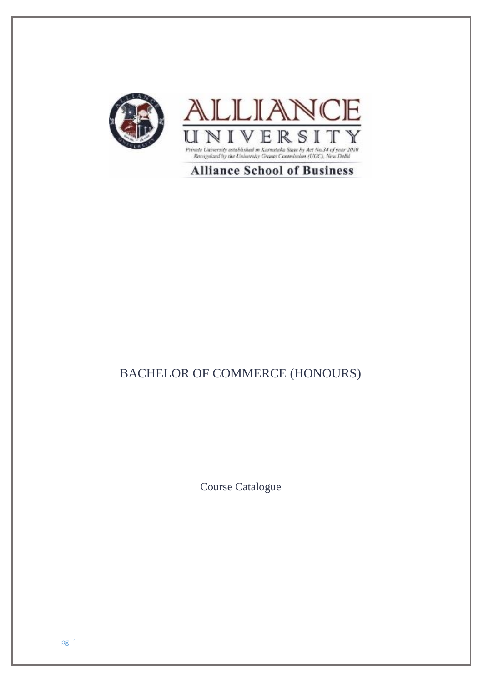

**Alliance School of Business** 

# BACHELOR OF COMMERCE (HONOURS)

Course Catalogue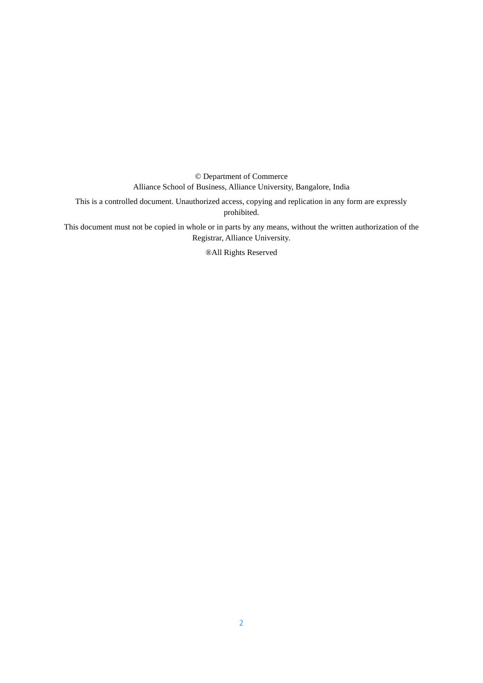© Department of Commerce Alliance School of Business, Alliance University, Bangalore, India

This is a controlled document. Unauthorized access, copying and replication in any form are expressly prohibited.

This document must not be copied in whole or in parts by any means, without the written authorization of the Registrar, Alliance University.

®All Rights Reserved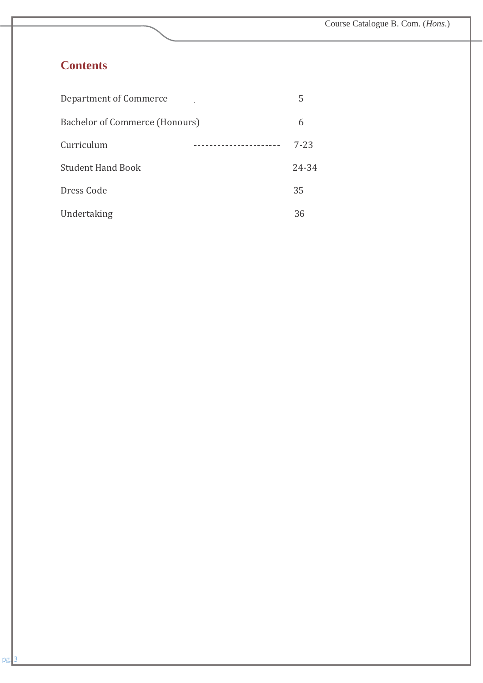# **Contents**

| <b>Department of Commerce</b>  |  |          |
|--------------------------------|--|----------|
| Bachelor of Commerce (Honours) |  | 6        |
| Curriculum                     |  | $7 - 23$ |
| <b>Student Hand Book</b>       |  | 24-34    |
| Dress Code                     |  | 35       |
| Undertaking                    |  | 36       |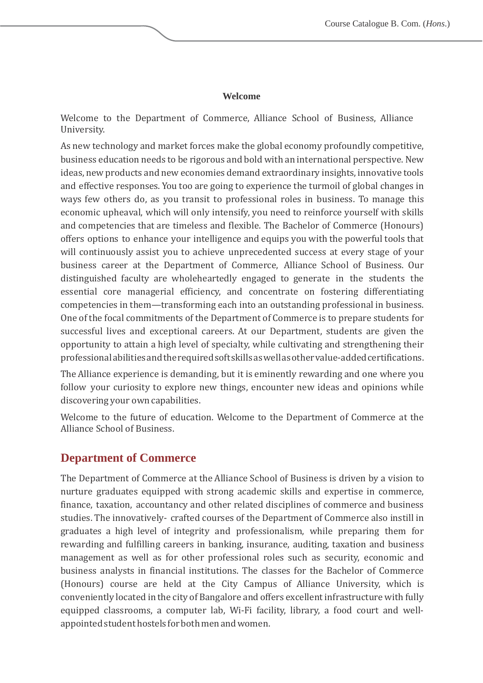#### **Welcome**

Welcome to the Department of Commerce, Alliance School of Business, Alliance University.

As new technology and market forces make the global economy profoundly competitive, business education needs to be rigorous and bold with an international perspective. New ideas, new products and new economies demand extraordinary insights, innovative tools and effective responses. You too are going to experience the turmoil of global changes in ways few others do, as you transit to professional roles in business. To manage this economic upheaval, which will only intensify, you need to reinforce yourself with skills and competencies that are timeless and flexible. The Bachelor of Commerce (Honours) offers options to enhance your intelligence and equips you with the powerful tools that will continuously assist you to achieve unprecedented success at every stage of your business career at the Department of Commerce, Alliance School of Business. Our distinguished faculty are wholeheartedly engaged to generate in the students the essential core managerial efficiency, and concentrate on fostering differentiating competencies in them—transforming each into an outstanding professional in business. One of the focal commitments of the Department of Commerce is to prepare students for successful lives and exceptional careers. At our Department, students are given the opportunity to attain a high level of specialty, while cultivating and strengthening their professionalabilitiesandtherequiredsoftskillsaswellasothervalue-addedcertifications.

The Alliance experience is demanding, but it is eminently rewarding and one where you follow your curiosity to explore new things, encounter new ideas and opinions while discovering your owncapabilities.

Welcome to the future of education. Welcome to the Department of Commerce at the Alliance School of Business.

# **Department of Commerce**

The Department of Commerce at the Alliance School of Business is driven by a vision to nurture graduates equipped with strong academic skills and expertise in commerce, finance, taxation, accountancy and other related disciplines of commerce and business studies. The innovatively- crafted courses of the Department of Commerce also instill in graduates a high level of integrity and professionalism, while preparing them for rewarding and fulfilling careers in banking, insurance, auditing, taxation and business management as well as for other professional roles such as security, economic and business analysts in financial institutions. The classes for the Bachelor of Commerce (Honours) course are held at the City Campus of Alliance University, which is conveniently located in the city of Bangalore and offers excellent infrastructure with fully equipped classrooms, a computer lab, Wi-Fi facility, library, a food court and wellappointed student hostels for both men and women.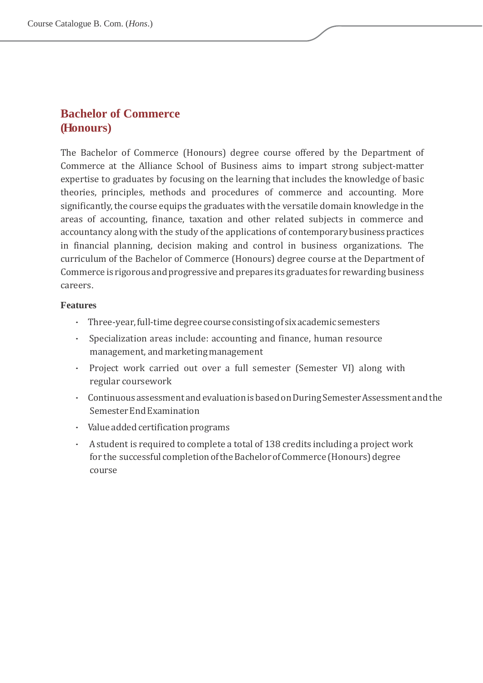# **Bachelor of Commerce (Honours)**

The Bachelor of Commerce (Honours) degree course offered by the Department of Commerce at the Alliance School of Business aims to impart strong subject-matter expertise to graduates by focusing on the learning that includes the knowledge of basic theories, principles, methods and procedures of commerce and accounting. More significantly, the course equips the graduates with the versatile domain knowledge in the areas of accounting, finance, taxation and other related subjects in commerce and accountancy along with the study of the applications of contemporarybusinesspractices in financial planning, decision making and control in business organizations. The curriculum of the Bachelor of Commerce (Honours) degree course at the Department of Commerce is rigorous and progressive and prepares its graduates for rewarding business careers.

#### **Features**

- · Three-year,full-timedegree course consistingof sixacademic semesters
- Specialization areas include: accounting and finance, human resource management, andmarketingmanagement
- Project work carried out over a full semester (Semester VI) along with regular coursework
- · Continuous assessment andevaluationisbasedonDuringSemesterAssessment andthe Semester End Examination
- Value added certification programs
- A student is required to complete a total of 138 credits including a project work for the successful completion of the Bachelor of Commerce (Honours) degree course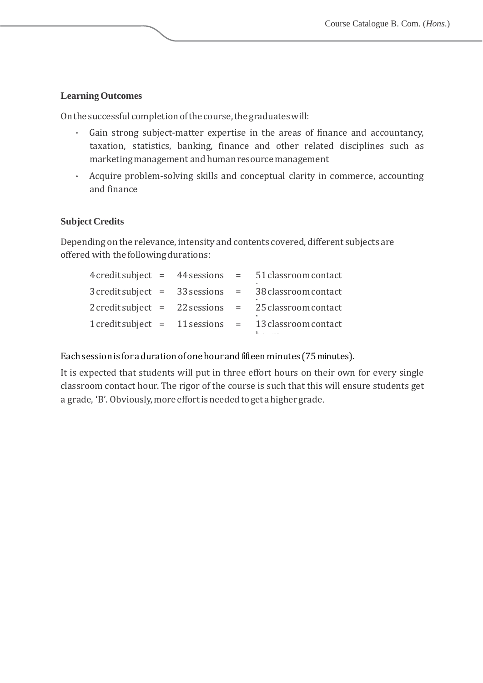#### **LearningOutcomes**

On the successful completion of the course, the graduates will:

- · Gain strong subject-matter expertise in the areas of finance and accountancy, taxation, statistics, banking, finance and other related disciplines such as marketing management andhumanresourcemanagement
- · Acquire problem-solving skills and conceptual clarity in commerce, accounting and finance

#### **Subject Credits**

Depending on the relevance, intensity and contents covered, different subjects are offered with the following durations:

| $4 \text{ credit subject} = 44 \text{ sessions} =$ |  | 51 classroom contact |
|----------------------------------------------------|--|----------------------|
| $3 \text{ credit subject} = 33 \text{ sessions} =$ |  | 38 classroom contact |
| $2 \text{ credit subject} = 22 \text{ sessions} =$ |  | 25 classroom contact |
| $1 \text{ credit subject} = 11 \text{ sessions} =$ |  | 13 classroom contact |
|                                                    |  |                      |

#### Each session is for a duration of one hour and fifteen minutes (75 minutes).

It is expected that students will put in three effort hours on their own for every single classroom contact hour. The rigor of the course is such that this will ensure students get a grade, 'B'. Obviously, more effort is needed to get a higher grade.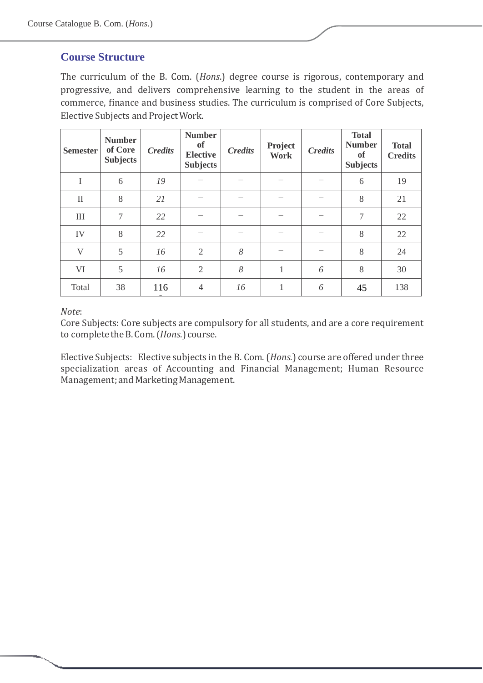# **Course Structure**

The curriculum of the B. Com. (*Hons*.) degree course is rigorous, contemporary and progressive, and delivers comprehensive learning to the student in the areas of commerce, finance and business studies. The curriculum is comprised of Core Subjects, Elective Subjects and Project Work.

| <b>Semester</b> | <b>Number</b><br>of Core<br><b>Subjects</b> | <b>Credits</b> | <b>Number</b><br><sub>of</sub><br><b>Elective</b><br><b>Subjects</b> | <b>Credits</b> | Project<br><b>Work</b> | <b>Credits</b> | <b>Total</b><br><b>Number</b><br>of<br><b>Subjects</b> | <b>Total</b><br><b>Credits</b> |
|-----------------|---------------------------------------------|----------------|----------------------------------------------------------------------|----------------|------------------------|----------------|--------------------------------------------------------|--------------------------------|
| I               | 6                                           | 19             |                                                                      |                |                        |                | 6                                                      | 19                             |
| $\mathbf{I}$    | 8                                           | 21             |                                                                      |                |                        |                | 8                                                      | 21                             |
| III             | $\overline{7}$                              | 22             |                                                                      |                |                        |                | 7                                                      | 22                             |
| IV              | 8                                           | 22             |                                                                      |                |                        |                | 8                                                      | 22                             |
| $\mathbf{V}$    | 5                                           | 16             | 2                                                                    | 8              |                        |                | 8                                                      | 24                             |
| VI              | 5                                           | 16             | $\overline{2}$                                                       | 8              | 1                      | 6              | 8                                                      | 30                             |
| Total           | 38                                          | 116            | 4                                                                    | 16             | 1                      | 6              | 45                                                     | 138                            |
|                 |                                             |                |                                                                      |                |                        |                |                                                        |                                |

*Note*:

Core Subjects: Core subjects are compulsory for all students, and are a core requirement to complete theB.Com.(*Hons*.) course.

Elective Subjects: Elective subjects in the B. Com. (*Hons*.) course are offered under three specialization areas of Accounting and Financial Management; Human Resource Management; and Marketing Management.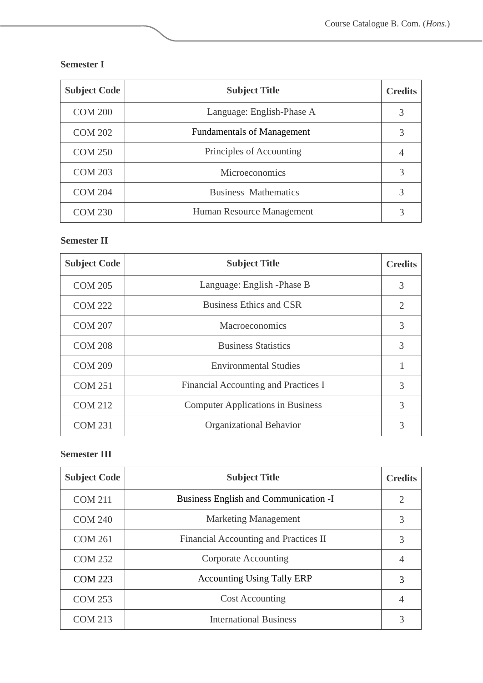#### **Semester I**

| <b>Subject Code</b> | <b>Subject Title</b>              | <b>Credits</b> |
|---------------------|-----------------------------------|----------------|
| <b>COM 200</b>      | Language: English-Phase A         | 3              |
| <b>COM 202</b>      | <b>Fundamentals of Management</b> |                |
| <b>COM 250</b>      | Principles of Accounting          |                |
| <b>COM 203</b>      | Microeconomics                    |                |
| <b>COM 204</b>      | <b>Business Mathematics</b>       | 3              |
| <b>COM 230</b>      | Human Resource Management         |                |

# **Semester II**

| <b>Subject Code</b> | <b>Subject Title</b>                     | <b>Credits</b>              |
|---------------------|------------------------------------------|-----------------------------|
| <b>COM 205</b>      | Language: English -Phase B               | 3                           |
| <b>COM 222</b>      | <b>Business Ethics and CSR</b>           | $\mathcal{D}_{\mathcal{L}}$ |
| <b>COM 207</b>      | <b>Macroeconomics</b>                    | 3                           |
| <b>COM 208</b>      | <b>Business Statistics</b>               | 3                           |
| <b>COM 209</b>      | <b>Environmental Studies</b>             |                             |
| <b>COM 251</b>      | Financial Accounting and Practices I     | 3                           |
| <b>COM 212</b>      | <b>Computer Applications in Business</b> | 3                           |
| <b>COM 231</b>      | <b>Organizational Behavior</b>           | 3                           |

#### **Semester III**

| <b>Subject Code</b> | <b>Subject Title</b>                  | <b>Credits</b>              |
|---------------------|---------------------------------------|-----------------------------|
| <b>COM 211</b>      | Business English and Communication -I | $\mathcal{D}_{\mathcal{L}}$ |
| <b>COM 240</b>      | <b>Marketing Management</b>           | 3                           |
| <b>COM 261</b>      | Financial Accounting and Practices II | 3                           |
| <b>COM 252</b>      | Corporate Accounting                  | 4                           |
| <b>COM 223</b>      | <b>Accounting Using Tally ERP</b>     | 3                           |
| <b>COM 253</b>      | <b>Cost Accounting</b>                | 4                           |
| <b>COM 213</b>      | <b>International Business</b>         |                             |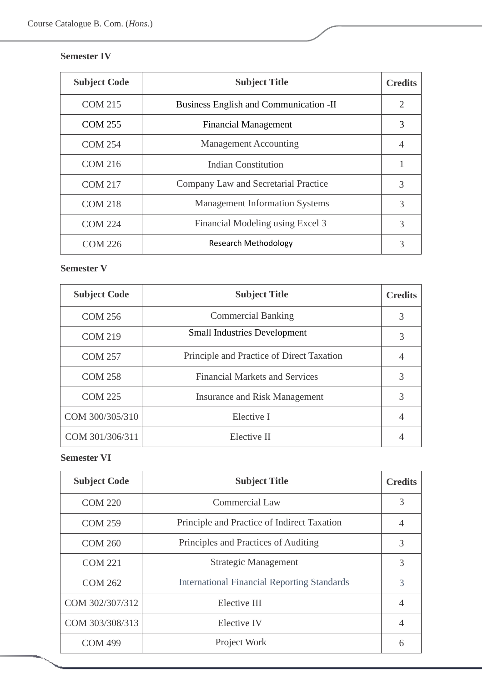#### **Semester IV**

| <b>Subject Code</b> | <b>Subject Title</b>                   | <b>Credits</b>              |
|---------------------|----------------------------------------|-----------------------------|
| <b>COM 215</b>      | Business English and Communication -II | $\mathcal{D}_{\mathcal{L}}$ |
| <b>COM 255</b>      | <b>Financial Management</b>            | 3                           |
| <b>COM 254</b>      | <b>Management Accounting</b>           | $\overline{4}$              |
| <b>COM 216</b>      | <b>Indian Constitution</b>             |                             |
| <b>COM 217</b>      | Company Law and Secretarial Practice   | 3                           |
| <b>COM 218</b>      | <b>Management Information Systems</b>  | 3                           |
| <b>COM 224</b>      | Financial Modeling using Excel 3       | 3                           |
| COM 226             | <b>Research Methodology</b>            | 3                           |

**Semester V**

| <b>Subject Code</b> | <b>Subject Title</b>                      | <b>Credits</b> |
|---------------------|-------------------------------------------|----------------|
| <b>COM 256</b>      | <b>Commercial Banking</b>                 | 3              |
| <b>COM 219</b>      | <b>Small Industries Development</b>       | 3              |
| <b>COM 257</b>      | Principle and Practice of Direct Taxation | 4              |
| <b>COM 258</b>      | <b>Financial Markets and Services</b>     | 3              |
| <b>COM 225</b>      | Insurance and Risk Management             | 3              |
| COM 300/305/310     | Elective I                                | $\overline{4}$ |
| COM 301/306/311     | Elective II                               |                |

**Semester VI**

| <b>Subject Code</b> | <b>Subject Title</b>                               |                |
|---------------------|----------------------------------------------------|----------------|
| <b>COM 220</b>      | <b>Commercial Law</b>                              |                |
| <b>COM 259</b>      | Principle and Practice of Indirect Taxation        | $\overline{4}$ |
| <b>COM 260</b>      | Principles and Practices of Auditing               | 3              |
| <b>COM 221</b>      | <b>Strategic Management</b>                        | 3              |
| <b>COM 262</b>      | <b>International Financial Reporting Standards</b> | 3              |
| COM 302/307/312     | Elective III                                       | 4              |
| COM 303/308/313     | Elective IV                                        | 4              |
| <b>COM 499</b>      | Project Work                                       | 6              |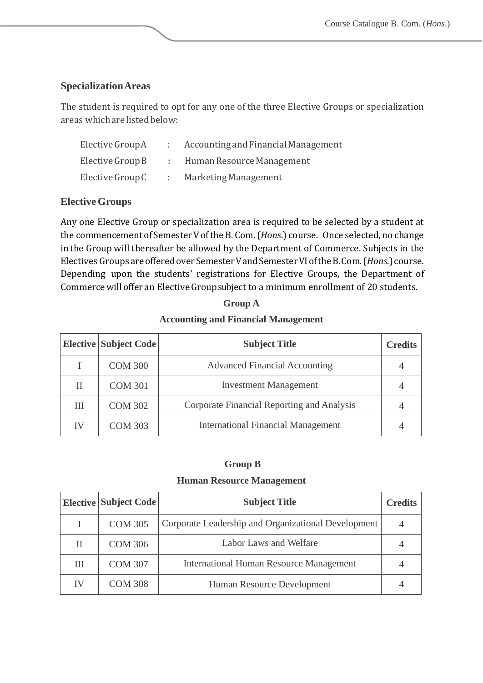#### **SpecializationAreas**

The student is required to opt for any one of the three Elective Groups or specialization areas which are listed below:

| Elective Group A | Accounting and Financial Management |
|------------------|-------------------------------------|
| Elective Group B | Human Resource Management           |
| Elective Group C | Marketing Management                |

# **ElectiveGroups**

Any one Elective Group or specialization area is required to be selected by a student at the commencement of Semester V of the B. Com. (*Hons*.) course. Once selected, no change in the Group will thereafter be allowed by the Department of Commerce. Subjects in the Electives GroupsareofferedoverSemesterVandSemesterVIoftheB.Com.(*Hons*.)course. Depending upon the students' registrations for Elective Groups, the Department of Commerce will offer an Elective Group subject to a minimum enrollment of 20 students.

# **Group A Accounting and Financial Management**

|    | Elective Subject Code | <b>Subject Title</b>                       | <b>Credits</b> |
|----|-----------------------|--------------------------------------------|----------------|
|    | <b>COM 300</b>        | <b>Advanced Financial Accounting</b>       |                |
|    | <b>COM 301</b>        | <b>Investment Management</b>               |                |
| Ш  | <b>COM 302</b>        | Corporate Financial Reporting and Analysis |                |
| IV | <b>COM 303</b>        | <b>International Financial Management</b>  |                |

#### **Group B**

#### **Human Resource Management**

|    | Elective   Subject Code | <b>Subject Title</b>                                | <b>Credits</b> |
|----|-------------------------|-----------------------------------------------------|----------------|
|    | <b>COM 305</b>          | Corporate Leadership and Organizational Development |                |
| П  | <b>COM 306</b>          | Labor Laws and Welfare                              |                |
| Ш  | <b>COM 307</b>          | <b>International Human Resource Management</b>      |                |
| IV | <b>COM 308</b>          | Human Resource Development                          |                |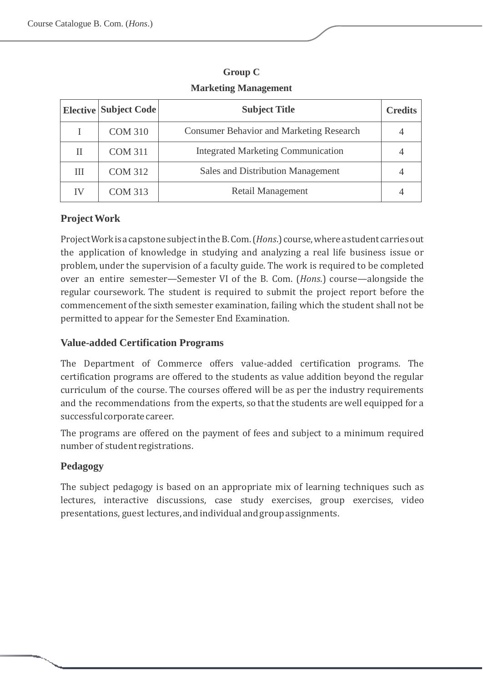| <b>Elective</b> | <b>Subject Code</b> | <b>Subject Title</b>                            | <b>Credits</b> |
|-----------------|---------------------|-------------------------------------------------|----------------|
|                 | <b>COM 310</b>      | <b>Consumer Behavior and Marketing Research</b> |                |
| Н               | <b>COM 311</b>      | <b>Integrated Marketing Communication</b>       |                |
| Ш               | <b>COM 312</b>      | Sales and Distribution Management               |                |
| IV              | <b>COM 313</b>      | Retail Management                               |                |

# **Group C Marketing Management**

# **ProjectWork**

ProjectWorkisacapstonesubjectintheB.Com.(*Hons*.)course,whereastudent carriesout the application of knowledge in studying and analyzing a real life business issue or problem, under the supervision of a faculty guide. The work is required to be completed over an entire semester—Semester VI of the B. Com. (*Hons*.) course—alongside the regular coursework. The student is required to submit the project report before the commencement of the sixth semester examination, failing which the student shall not be permitted to appear for the Semester End Examination.

# **Value-added Certification Programs**

The Department of Commerce offers value-added certification programs. The certification programs are offered to the students as value addition beyond the regular curriculum of the course. The courses offered will be as per the industry requirements and the recommendations from the experts, so that the students are well equipped for a successful corporate career.

The programs are offered on the payment of fees and subject to a minimum required number of student registrations.

# **Pedagogy**

The subject pedagogy is based on an appropriate mix of learning techniques such as lectures, interactive discussions, case study exercises, group exercises, video presentations, guest lectures, and individual and group assignments.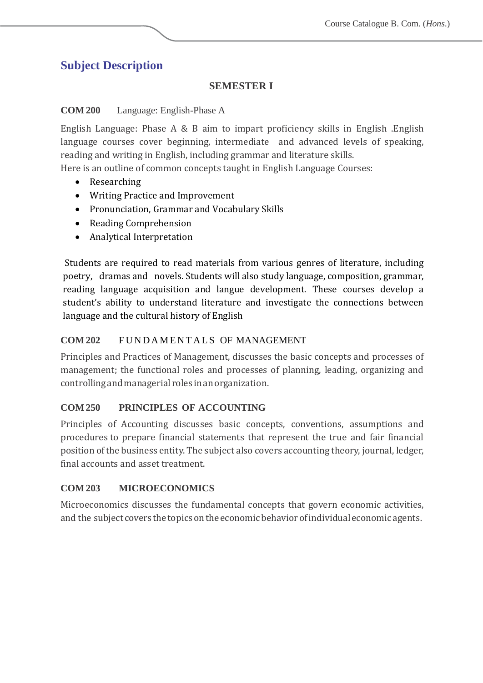# **Subject Description**

# **SEMESTER I**

#### **COM200** Language: English-Phase A

English Language: Phase A & B aim to impart proficiency skills in English .English language courses cover beginning, intermediate and advanced levels of speaking, reading and writing in English, including grammar and literature skills.

Here is an outline of common concepts taught in English Language Courses:

- Researching
- Writing Practice and Improvement
- Pronunciation, Grammar and Vocabulary Skills
- Reading Comprehension
- Analytical Interpretation

 Students are required to read materials from various genres of literature, including poetry, dramas and novels. Students will also study language, composition, grammar, reading language acquisition and langue development. These courses develop a student's ability to understand literature and investigate the connections between language and the cultural history of English

## COM 202 FUNDAMENTALS OF MANAGEMENT

Principles and Practices of Management, discusses the basic concepts and processes of management; the functional roles and processes of planning, leading, organizing and controllingandmanagerial roles inanorganization.

# **COM250 PRINCIPLES OF ACCOUNTING**

Principles of Accounting discusses basic concepts, conventions, assumptions and procedures to prepare financial statements that represent the true and fair financial position of the business entity. The subject also covers accounting theory, journal, ledger, final accounts and asset treatment.

#### **COM203 MICROECONOMICS**

Microeconomics discusses the fundamental concepts that govern economic activities, and the subject covers the topics on the economic behavior of individual economic agents.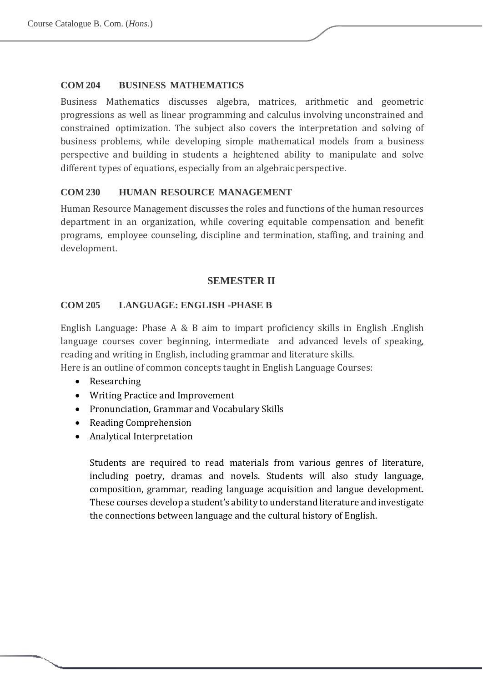#### **COM204 BUSINESS MATHEMATICS**

Business Mathematics discusses algebra, matrices, arithmetic and geometric progressions as well as linear programming and calculus involving unconstrained and constrained optimization. The subject also covers the interpretation and solving of business problems, while developing simple mathematical models from a business perspective and building in students a heightened ability to manipulate and solve different types of equations, especially from an algebraic perspective.

#### **COM230 HUMAN RESOURCE MANAGEMENT**

Human Resource Management discusses the roles and functions of the human resources department in an organization, while covering equitable compensation and benefit programs, employee counseling, discipline and termination, staffing, and training and development.

#### **SEMESTER II**

#### **COM205 LANGUAGE: ENGLISH -PHASE B**

English Language: Phase A & B aim to impart proficiency skills in English .English language courses cover beginning, intermediate and advanced levels of speaking, reading and writing in English, including grammar and literature skills.

Here is an outline of common concepts taught in English Language Courses:

- Researching
- Writing Practice and Improvement
- Pronunciation, Grammar and Vocabulary Skills
- Reading Comprehension
- Analytical Interpretation

Students are required to read materials from various genres of literature, including poetry, dramas and novels. Students will also study language, composition, grammar, reading language acquisition and langue development. These courses develop a student's ability to understand literature and investigate the connections between language and the cultural history of English.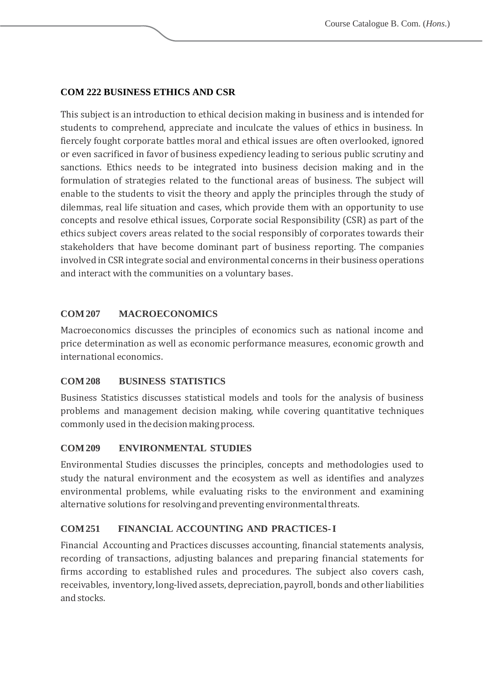#### **COM 222 BUSINESS ETHICS AND CSR**

This subject is an introduction to ethical decision making in business and is intended for students to comprehend, appreciate and inculcate the values of ethics in business. In fiercely fought corporate battles moral and ethical issues are often overlooked, ignored or even sacrificed in favor of business expediency leading to serious public scrutiny and sanctions. Ethics needs to be integrated into business decision making and in the formulation of strategies related to the functional areas of business. The subject will enable to the students to visit the theory and apply the principles through the study of dilemmas, real life situation and cases, which provide them with an opportunity to use concepts and resolve ethical issues, Corporate social Responsibility (CSR) as part of the ethics subject covers areas related to the social responsibly of corporates towards their stakeholders that have become dominant part of business reporting. The companies involved in CSR integrate social and environmental concerns in their business operations and interact with the communities on a voluntary bases.

#### **COM207 MACROECONOMICS**

Macroeconomics discusses the principles of economics such as national income and price determination as well as economic performance measures, economic growth and international economics.

#### **COM208 BUSINESS STATISTICS**

Business Statistics discusses statistical models and tools for the analysis of business problems and management decision making, while covering quantitative techniques commonly used in thedecisionmakingprocess.

# **COM209 ENVIRONMENTAL STUDIES**

Environmental Studies discusses the principles, concepts and methodologies used to study the natural environment and the ecosystem as well as identifies and analyzes environmental problems, while evaluating risks to the environment and examining alternative solutions for resolving and preventing environmental threats.

# **COM251 FINANCIAL ACCOUNTING AND PRACTICES-I**

Financial Accounting and Practices discusses accounting, financial statements analysis, recording of transactions, adjusting balances and preparing financial statements for firms according to established rules and procedures. The subject also covers cash, receivables, inventory, long-lived assets, depreciation, payroll, bonds and other liabilities andstocks.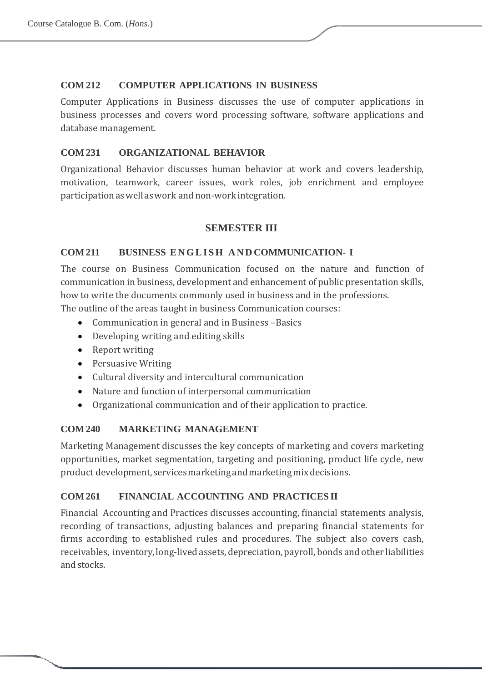## **COM212 COMPUTER APPLICATIONS IN BUSINESS**

Computer Applications in Business discusses the use of computer applications in business processes and covers word processing software, software applications and database management.

#### **COM231 ORGANIZATIONAL BEHAVIOR**

Organizational Behavior discusses human behavior at work and covers leadership, motivation, teamwork, career issues, work roles, job enrichment and employee participationaswell aswork andnon-workintegration.

# **SEMESTER III**

#### **COM211 BUSINESS E N G L I S H A N D COMMUNICATION- I**

The course on Business Communication focused on the nature and function of communication in business, development and enhancement of public presentation skills, how to write the documents commonly used in business and in the professions.

The outline of the areas taught in business Communication courses:

- Communication in general and in Business –Basics
- Developing writing and editing skills
- Report writing
- Persuasive Writing
- Cultural diversity and intercultural communication
- Nature and function of interpersonal communication
- Organizational communication and of their application to practice.

#### **COM240 MARKETING MANAGEMENT**

Marketing Management discusses the key concepts of marketing and covers marketing opportunities, market segmentation, targeting and positioning, product life cycle, new product development, servicesmarketingandmarketingmixdecisions.

#### **COM261 FINANCIAL ACCOUNTING AND PRACTICES II**

Financial Accounting and Practices discusses accounting, financial statements analysis, recording of transactions, adjusting balances and preparing financial statements for firms according to established rules and procedures. The subject also covers cash, receivables, inventory, long-lived assets, depreciation, payroll, bonds and other liabilities andstocks.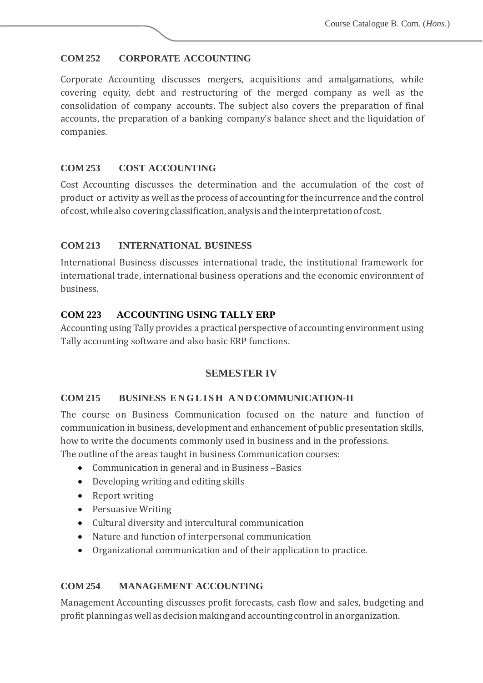#### **COM252 CORPORATE ACCOUNTING**

Corporate Accounting discusses mergers, acquisitions and amalgamations, while covering equity, debt and restructuring of the merged company as well as the consolidation of company accounts. The subject also covers the preparation of final accounts, the preparation of a banking company's balance sheet and the liquidation of companies.

## **COM253 COST ACCOUNTING**

Cost Accounting discusses the determination and the accumulation of the cost of product or activity as well as the process of accounting for the incurrence and the control of cost, while also covering classification, analysis and the interpretation of cost.

#### **COM213 INTERNATIONAL BUSINESS**

International Business discusses international trade, the institutional framework for international trade, international business operations and the economic environment of business.

#### **COM 223 ACCOUNTING USING TALLY ERP**

Accounting using Tally provides a practical perspective of accounting environment using Tally accounting software and also basic ERP functions.

#### **SEMESTER IV**

#### **COM215 BUSINESS E N G L I S H A N D COMMUNICATION-II**

The course on Business Communication focused on the nature and function of communication in business, development and enhancement of public presentation skills, how to write the documents commonly used in business and in the professions.

The outline of the areas taught in business Communication courses:

- Communication in general and in Business –Basics
- Developing writing and editing skills
- Report writing
- Persuasive Writing
- Cultural diversity and intercultural communication
- Nature and function of interpersonal communication
- Organizational communication and of their application to practice.

# **COM254 MANAGEMENT ACCOUNTING**

Management Accounting discusses profit forecasts, cash flow and sales, budgeting and profit planningaswellasdecisionmakingandaccountingcontrolinanorganization.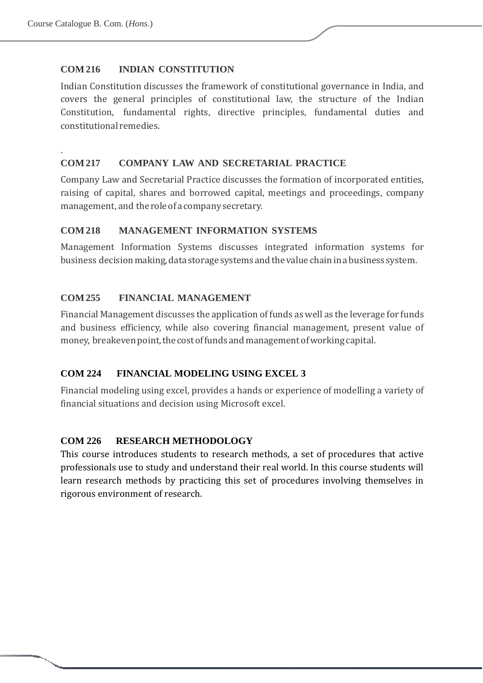.

#### **COM216 INDIAN CONSTITUTION**

Indian Constitution discusses the framework of constitutional governance in India, and covers the general principles of constitutional law, the structure of the Indian Constitution, fundamental rights, directive principles, fundamental duties and constitutional remedies.

#### **COM217 COMPANY LAW AND SECRETARIAL PRACTICE**

Company Law and Secretarial Practice discusses the formation of incorporated entities, raising of capital, shares and borrowed capital, meetings and proceedings, company management, and the role of a company secretary.

#### **COM218 MANAGEMENT INFORMATION SYSTEMS**

Management Information Systems discusses integrated information systems for business decision making, data storage systems and the value chain in a business system.

#### **COM255 FINANCIAL MANAGEMENT**

Financial Management discusses the application of funds as well as the leverage for funds and business efficiency, while also covering financial management, present value of money, breakeven point, the cost of funds and management of working capital.

#### **COM 224 FINANCIAL MODELING USING EXCEL 3**

Financial modeling using excel, provides a hands or experience of modelling a variety of financial situations and decision using Microsoft excel.

#### **COM 226 RESEARCH METHODOLOGY**

This course introduces students to research methods, a set of procedures that active professionals use to study and understand their real world. In this course students will learn research methods by practicing this set of procedures involving themselves in rigorous environment of research.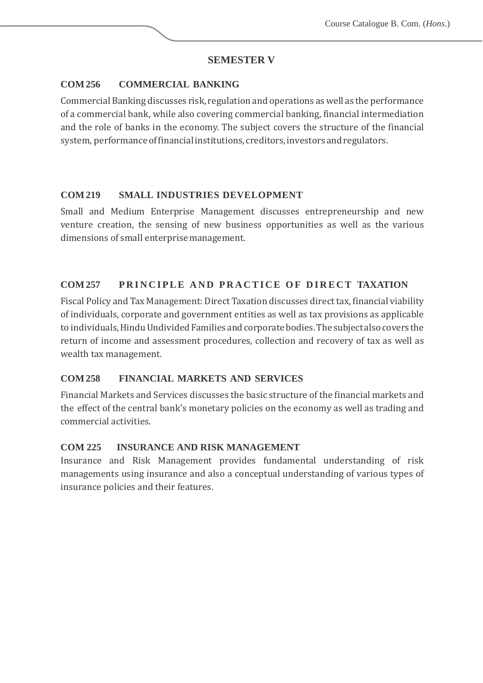#### **SEMESTER V**

#### **COM256 COMMERCIAL BANKING**

CommercialBanking discusses risk, regulation and operations aswell as the performance of a commercial bank, while also covering commercial banking, financial intermediation and the role of banks in the economy. The subject covers the structure of the financial system, performance of financial institutions, creditors, investors and regulators.

#### **COM219 SMALL INDUSTRIES DEVELOPMENT**

Small and Medium Enterprise Management discusses entrepreneurship and new venture creation, the sensing of new business opportunities as well as the various dimensions of small enterprise management.

#### **COM257 PRINCIPLE AND PRACTICE OF DIRECT TAXATION**

Fiscal Policy and Tax Management: Direct Taxation discusses direct tax, financial viability of individuals, corporate and government entities as well as tax provisions as applicable to individuals, Hindu Undivided Families and corporate bodies. The subject also covers the return of income and assessment procedures, collection and recovery of tax as well as wealth tax management.

#### **COM258 FINANCIAL MARKETS AND SERVICES**

Financial Markets and Services discusses the basic structure of the financial markets and the effect of the central bank's monetary policies on the economy as well as trading and commercial activities.

#### **COM 225 INSURANCE AND RISK MANAGEMENT**

Insurance and Risk Management provides fundamental understanding of risk managements using insurance and also a conceptual understanding of various types of insurance policies and their features.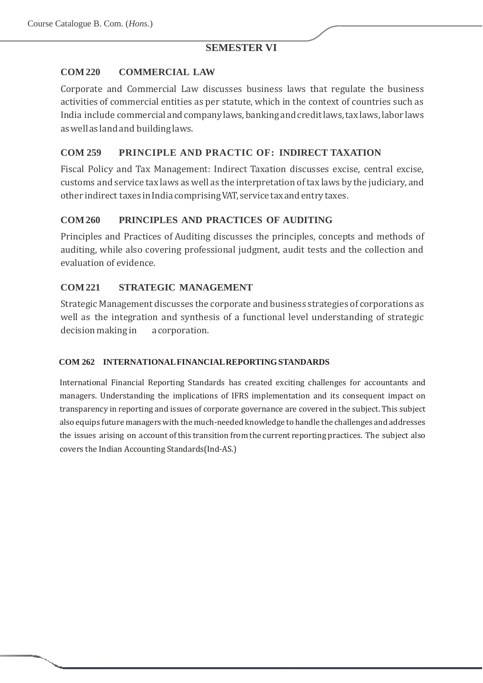# **SEMESTER VI**

# **COM220 COMMERCIAL LAW**

Corporate and Commercial Law discusses business laws that regulate the business activities of commercial entities as per statute, which in the context of countries such as India include commercial and company laws, banking and credit laws, tax laws, labor laws as well as land and building laws.

# **COM 259 PRINCIPLE AND PRACTIC OF: INDIRECT TAXATION**

Fiscal Policy and Tax Management: Indirect Taxation discusses excise, central excise, customs and service tax laws as well as the interpretation oftax laws by the judiciary, and other indirect taxes in India comprising VAT, service tax and entry taxes.

# **COM260 PRINCIPLES AND PRACTICES OF AUDITING**

Principles and Practices of Auditing discusses the principles, concepts and methods of auditing, while also covering professional judgment, audit tests and the collection and evaluation of evidence.

# **COM221 STRATEGIC MANAGEMENT**

Strategic Management discusses the corporate and business strategies of corporations as well as the integration and synthesis of a functional level understanding of strategic decision making in a corporation.

#### **COM 262 INTERNATIONALFINANCIALREPORTINGSTANDARDS**

International Financial Reporting Standards has created exciting challenges for accountants and managers. Understanding the implications of IFRS implementation and its consequent impact on transparency in reporting and issues of corporate governance are covered in the subject. This subject also equips future managers with the much-needed knowledge to handle the challenges and addresses the issues arising on account of this transition from the current reporting practices. The subject also covers the Indian Accounting Standards(Ind-AS.)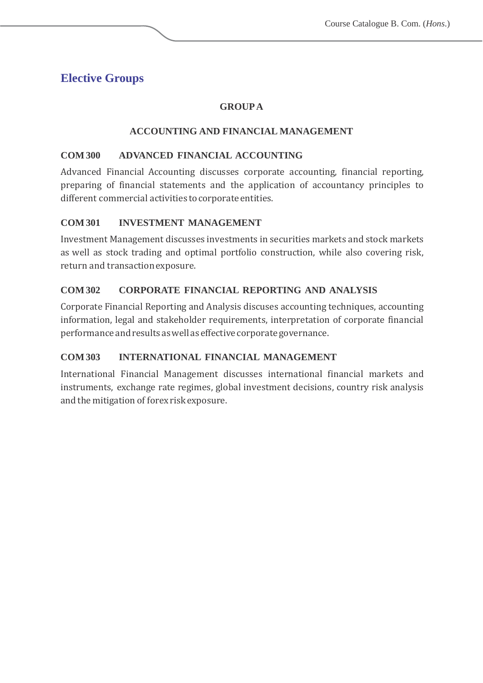# **Elective Groups**

# **GROUPA**

#### **ACCOUNTING AND FINANCIAL MANAGEMENT**

#### **COM300 ADVANCED FINANCIAL ACCOUNTING**

Advanced Financial Accounting discusses corporate accounting, financial reporting, preparing of financial statements and the application of accountancy principles to different commercial activities to corporate entities.

#### **COM301 INVESTMENT MANAGEMENT**

Investment Management discusses investments in securities markets and stock markets as well as stock trading and optimal portfolio construction, while also covering risk, return and transaction exposure.

# **COM302 CORPORATE FINANCIAL REPORTING AND ANALYSIS**

Corporate Financial Reporting and Analysis discuses accounting techniques, accounting information, legal and stakeholder requirements, interpretation of corporate financial performance and results as well as effective corporate governance.

# **COM303 INTERNATIONAL FINANCIAL MANAGEMENT**

International Financial Management discusses international financial markets and instruments, exchange rate regimes, global investment decisions, country risk analysis and the mitigation of forexriskexposure.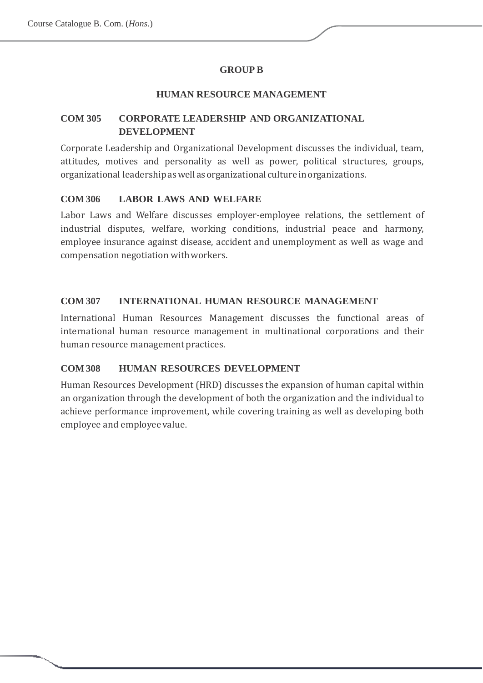## **GROUP B**

#### **HUMAN RESOURCE MANAGEMENT**

# **COM 305 CORPORATE LEADERSHIP AND ORGANIZATIONAL DEVELOPMENT**

Corporate Leadership and Organizational Development discusses the individual, team, attitudes, motives and personality as well as power, political structures, groups, organizational leadershipaswellasorganizational cultureinorganizations.

#### **COM306 LABOR LAWS AND WELFARE**

Labor Laws and Welfare discusses employer-employee relations, the settlement of industrial disputes, welfare, working conditions, industrial peace and harmony, employee insurance against disease, accident and unemployment as well as wage and compensation negotiation withworkers.

#### **COM307 INTERNATIONAL HUMAN RESOURCE MANAGEMENT**

International Human Resources Management discusses the functional areas of international human resource management in multinational corporations and their human resource management practices.

# **COM308 HUMAN RESOURCES DEVELOPMENT**

Human Resources Development (HRD) discusses the expansion of human capital within an organization through the development of both the organization and the individual to achieve performance improvement, while covering training as well as developing both employee and employee value.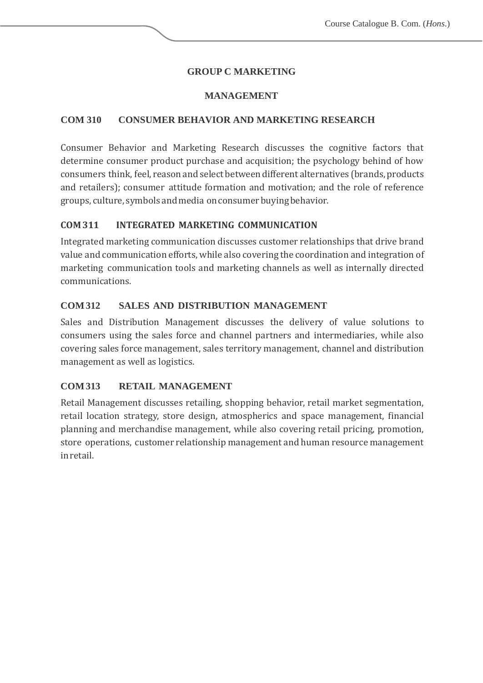#### **GROUP C MARKETING**

#### **MANAGEMENT**

#### **COM 310 CONSUMER BEHAVIOR AND MARKETING RESEARCH**

Consumer Behavior and Marketing Research discusses the cognitive factors that determine consumer product purchase and acquisition; the psychology behind of how consumers think, feel, reason and select between different alternatives (brands, products and retailers); consumer attitude formation and motivation; and the role of reference groups, culture, symbols and media on consumer buying behavior.

#### **COM311 INTEGRATED MARKETING COMMUNICATION**

Integrated marketing communication discusses customer relationships that drive brand value and communication efforts, while also covering the coordination and integration of marketing communication tools and marketing channels as well as internally directed communications.

#### **COM312 SALES AND DISTRIBUTION MANAGEMENT**

Sales and Distribution Management discusses the delivery of value solutions to consumers using the sales force and channel partners and intermediaries, while also covering sales force management, sales territory management, channel and distribution management as well as logistics.

# **COM313 RETAIL MANAGEMENT**

Retail Management discusses retailing, shopping behavior, retail market segmentation, retail location strategy, store design, atmospherics and space management, financial planning and merchandise management, while also covering retail pricing, promotion, store operations, customer relationship management and human resource management inretail.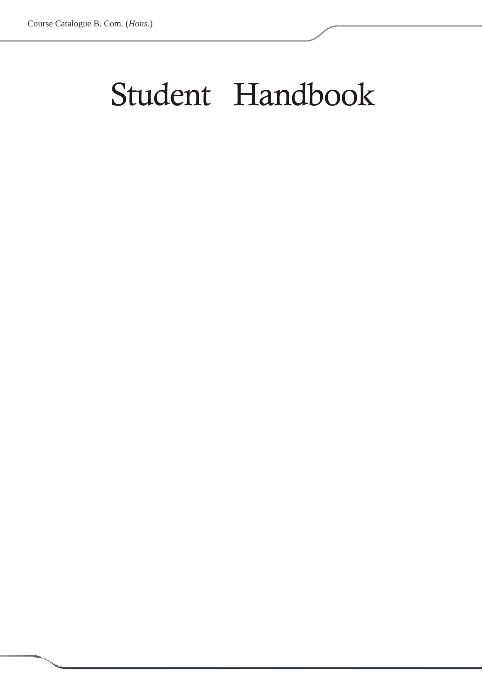# Student Handbook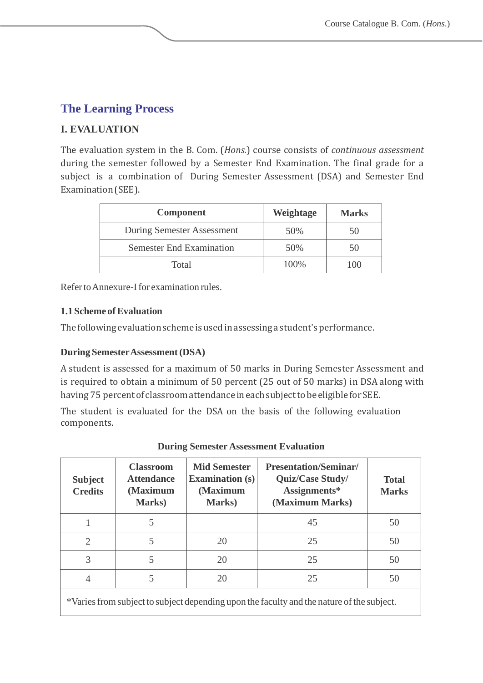# **The Learning Process**

# **I. EVALUATION**

The evaluation system in the B. Com. (*Hons*.) course consists of *continuous assessment* during the semester followed by a Semester End Examination. The final grade for a subject is a combination of During Semester Assessment (DSA) and Semester End Examination(SEE).

| <b>Component</b>                | Weightage | <b>Marks</b> |
|---------------------------------|-----------|--------------|
| During Semester Assessment      | 50%       | 50           |
| <b>Semester End Examination</b> | 50%       | 50           |
| Total                           | 100\%     | 1()()        |

Refer to Annexure-I for examination rules.

#### **1.1 Scheme ofEvaluation**

The following evaluation scheme is used in assessing a student's performance.

#### **During SemesterAssessment(DSA)**

A student is assessed for a maximum of 50 marks in During Semester Assessment and is required to obtain a minimum of 50 percent (25 out of 50 marks) in DSA along with having 75 percent of classroom attendance in each subject to be eligible for SEE.

The student is evaluated for the DSA on the basis of the following evaluation components.

| <b>Subject</b><br><b>Credits</b>                                                          | <b>Classroom</b><br><b>Attendance</b><br>(Maximum<br><b>Marks</b> ) | <b>Mid Semester</b><br><b>Examination</b> (s)<br>(Maximum<br><b>Marks</b> ) | <b>Presentation/Seminar/</b><br><b>Quiz/Case Study/</b><br>Assignments*<br>(Maximum Marks) | <b>Total</b><br><b>Marks</b> |
|-------------------------------------------------------------------------------------------|---------------------------------------------------------------------|-----------------------------------------------------------------------------|--------------------------------------------------------------------------------------------|------------------------------|
|                                                                                           | 5                                                                   |                                                                             | 45                                                                                         | 50                           |
| 2                                                                                         | 5                                                                   | 20                                                                          | 25                                                                                         | 50                           |
| 3                                                                                         | 5                                                                   | 20                                                                          | 25                                                                                         | 50                           |
|                                                                                           | 5                                                                   | 20                                                                          | 25                                                                                         | 50                           |
| *Varies from subject to subject depending upon the faculty and the nature of the subject. |                                                                     |                                                                             |                                                                                            |                              |

**During Semester Assessment Evaluation**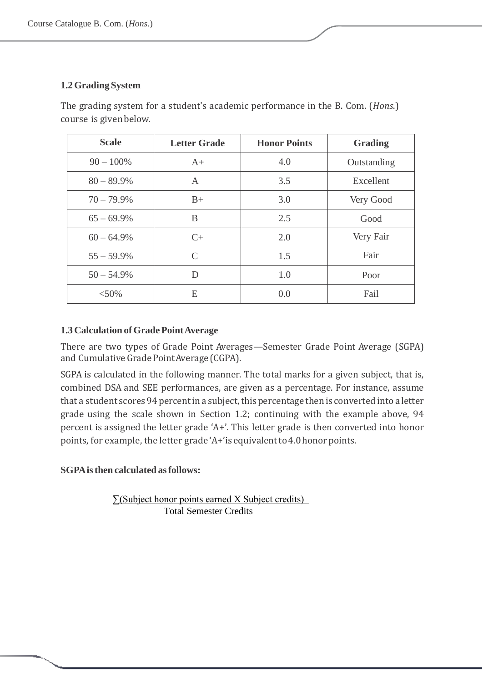#### **1.2Grading System**

| <b>Scale</b>  | <b>Letter Grade</b> | <b>Honor Points</b> | Grading     |
|---------------|---------------------|---------------------|-------------|
| $90 - 100\%$  | $A+$                | 4.0                 | Outstanding |
| $80 - 89.9\%$ | $\mathbf{A}$        | 3.5                 | Excellent   |
| $70 - 79.9\%$ | $B+$                | 3.0                 | Very Good   |
| $65 - 69.9\%$ | B                   | 2.5                 | Good        |
| $60 - 64.9\%$ | $C+$                | 2.0                 | Very Fair   |
| $55 - 59.9\%$ | $\mathcal{C}$       | 1.5                 | Fair        |
| $50 - 54.9\%$ | D                   | 1.0                 | Poor        |
| < 50%         | E                   | 0.0                 | Fail        |

The grading system for a student's academic performance in the B. Com. (*Hons*.) course is givenbelow.

#### **1.3 Calculation ofGradePointAverage**

There are two types of Grade Point Averages—Semester Grade Point Average (SGPA) and Cumulative Grade Point Average (CGPA).

SGPA is calculated in the following manner. The total marks for a given subject, that is, combined DSA and SEE performances, are given as a percentage. For instance, assume that a student scores 94 percent in a subject, this percentage then is converted into a letter grade using the scale shown in Section 1.2; continuing with the example above, 94 percent is assigned the letter grade 'A+'. This letter grade is then converted into honor points, for example, the letter grade 'A+' is equivalent to 4.0 honor points.

#### **SGPAisthen calculated asfollows:**

∑(Subject honor points earned X Subject credits) Total Semester Credits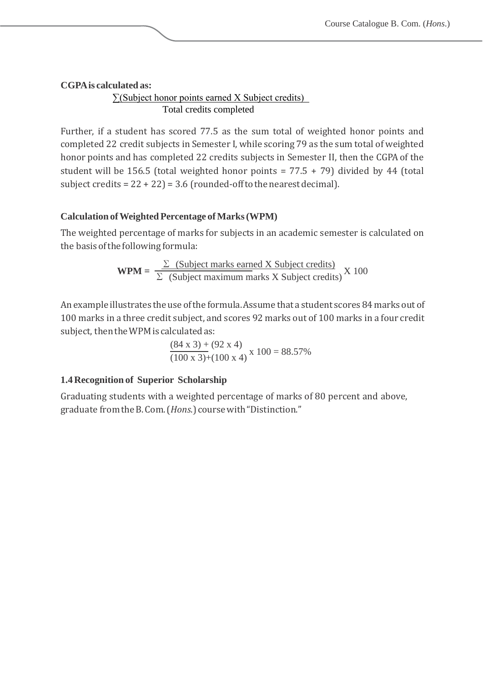**CGPAis calculated as:**

∑(Subject honor points earned X Subject credits) Total credits completed

Further, if a student has scored 77.5 as the sum total of weighted honor points and completed 22 credit subjects in Semester I, while scoring 79 as the sum total of weighted honor points and has completed 22 credits subjects in Semester II, then the CGPA of the student will be 156.5 (total weighted honor points =  $77.5 + 79$ ) divided by 44 (total subject credits =  $22 + 22$ ) = 3.6 (rounded-off to the nearest decimal).

#### $Calculation of Weighted Percentage of Marks (WPM)$

The weighted percentage of marks for subjects in an academic semester is calculated on the basis of the following formula:

**WPM** = 
$$
\frac{\sum (\text{Subject marks earned X Subject credits})}{\sum (\text{Subject maximum marks X Subject credits})} \times 100
$$

An example illustrates the use ofthe formula.Assume that a student scores 84marks out of 100 marks in a three credit subject, and scores 92 marks out of 100 marks in a four credit subject, then the WPM is calculated as:

$$
\frac{(84 \times 3) + (92 \times 4)}{(100 \times 3) + (100 \times 4)} \times 100 = 88.57\%
$$

# **1.4 Recognition of Superior Scholarship**

Graduating students with a weighted percentage of marks of 80 percent and above, graduate fromtheB.Com.(*Hons*.) coursewith"Distinction."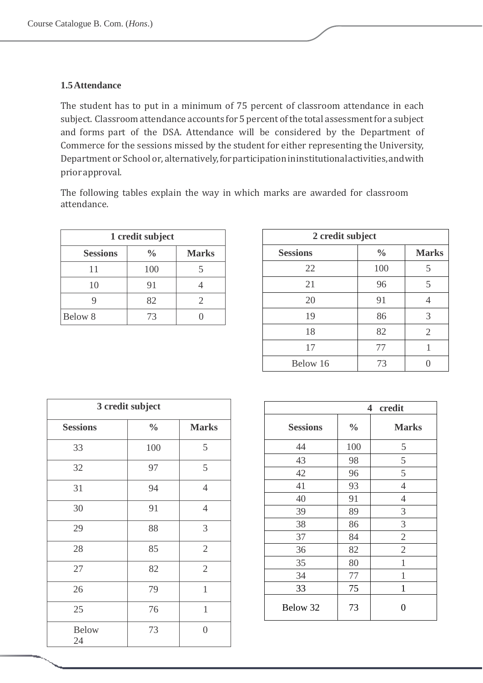#### **1.5Attendance**

The student has to put in a minimum of 75 percent of classroom attendance in each subject. Classroom attendance accounts for 5 percent of the total assessment for a subject and forms part of the DSA. Attendance will be considered by the Department of Commerce for the sessions missed by the student for either representing the University, Department or School or, alternatively,forparticipationininstitutionalactivities,andwith priorapproval.

The following tables explain the way in which marks are awarded for classroom attendance.

| 1 credit subject |               |              |  |
|------------------|---------------|--------------|--|
| <b>Sessions</b>  | $\frac{0}{0}$ | <b>Marks</b> |  |
| 11               | 100           | 5            |  |
| 10               | 91            |              |  |
|                  | 82            | 2            |  |
| Below 8          | 73            |              |  |

| 2 credit subject |               |                |  |
|------------------|---------------|----------------|--|
| <b>Sessions</b>  | $\frac{0}{0}$ | <b>Marks</b>   |  |
| 22               | 100           | 5              |  |
| 21               | 96            | 5              |  |
| 20               | 91            | 4              |  |
| 19               | 86            | 3              |  |
| 18               | 82            | $\overline{2}$ |  |
| 17               | 77            | 1              |  |
| Below 16         | 73            |                |  |

| 3 credit subject   |               |                |  |
|--------------------|---------------|----------------|--|
| <b>Sessions</b>    | $\frac{0}{0}$ | <b>Marks</b>   |  |
| 33                 | 100           | 5              |  |
| 32                 | 97            | 5              |  |
| 31                 | 94            | $\overline{4}$ |  |
| 30                 | 91            | $\overline{4}$ |  |
| 29                 | 88            | 3              |  |
| 28                 | 85            | $\mathfrak{2}$ |  |
| 27                 | 82            | $\overline{2}$ |  |
| 26                 | 79            | $\mathbf{1}$   |  |
| 25                 | 76            | $\mathbf{1}$   |  |
| <b>Below</b><br>24 | 73            | $\overline{0}$ |  |

|                 | 4 credit      |                |  |
|-----------------|---------------|----------------|--|
| <b>Sessions</b> | $\frac{0}{0}$ | <b>Marks</b>   |  |
| 44              | 100           | 5              |  |
| 43              | 98            | 5              |  |
| 42              | 96            | 5              |  |
| 41              | 93            | $\overline{4}$ |  |
| 40              | 91            | $\overline{4}$ |  |
| 39              | 89            | 3              |  |
| 38              | 86            | $\mathfrak{Z}$ |  |
| 37              | 84            | $\overline{2}$ |  |
| 36              | 82            | $\overline{2}$ |  |
| 35              | 80            | $\mathbf{1}$   |  |
| 34              | 77            | 1              |  |
| 33              | 75            | $\mathbf{1}$   |  |
| Below 32        | 73            | 0              |  |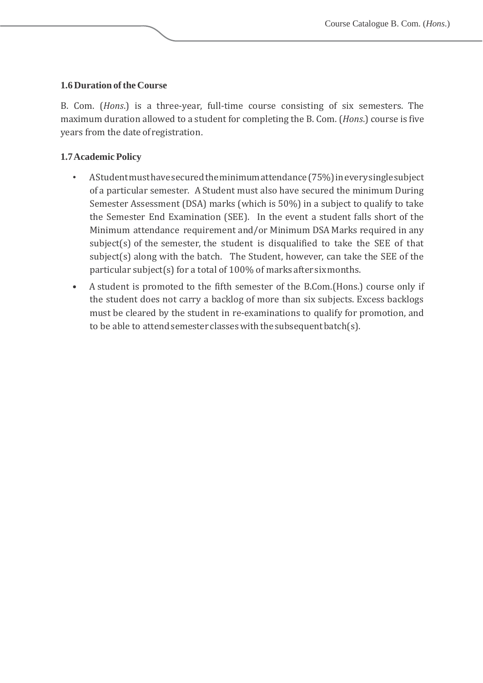#### **1.6 Duration** of the Course

B. Com. (*Hons*.) is a three-year, full-time course consisting of six semesters. The maximum duration allowed to a student for completing the B. Com. (*Hons*.) course is five years from the date of registration.

## **1.7AcademicPolicy**

- AStudentmusthavesecuredtheminimumattendance(75%)ineverysinglesubject of a particular semester. A Student must also have secured the minimum During Semester Assessment (DSA) marks (which is 50%) in a subject to qualify to take the Semester End Examination (SEE). In the event a student falls short of the Minimum attendance requirement and/or Minimum DSA Marks required in any subject(s) of the semester, the student is disqualified to take the SEE of that subject(s) along with the batch. The Student, however, can take the SEE of the particular subject(s) for a total of 100% of marks after sixmonths.
- A student is promoted to the fifth semester of the B.Com.(Hons.) course only if the student does not carry a backlog of more than six subjects. Excess backlogs must be cleared by the student in re-examinations to qualify for promotion, and to be able to attend semester classes with the subsequent batch $(s)$ .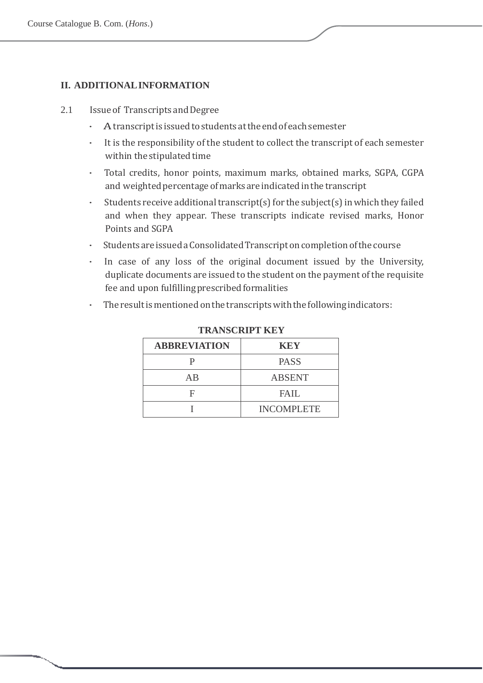#### **II. ADDITIONALINFORMATION**

- 2.1 Issue of Transcripts and Degree
	- A transcript is issued to students at the end of each semester
	- · It is the responsibility of the student to collect the transcript of each semester within the stipulated time
	- · Total credits, honor points, maximum marks, obtained marks, SGPA, CGPA and weighted percentage of marks are indicated in the transcript
	- Students receive additional transcript(s) for the subject(s) in which they failed and when they appear. These transcripts indicate revised marks, Honor Points and SGPA
	- Students are issued a Consolidated Transcript on completion of the course

The result is mentioned on the transcripts with the following indicators:

· In case of any loss of the original document issued by the University, duplicate documents are issued to the student on the payment of the requisite fee and upon fulfilling prescribed formalities

| <b>TRANSCRIPT KEY</b> |               |  |  |
|-----------------------|---------------|--|--|
| <b>ABBREVIATION</b>   | <b>KEY</b>    |  |  |
|                       | <b>PASS</b>   |  |  |
| AR                    | <b>ABSENT</b> |  |  |
|                       |               |  |  |

I INCOMPLETE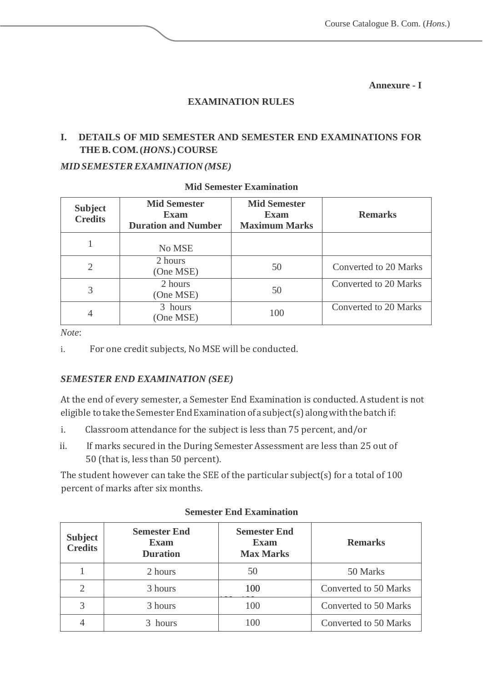**Annexure - I**

# **EXAMINATION RULES**

# **I. DETAILS OF MID SEMESTER AND SEMESTER END EXAMINATIONS FOR THEB. COM.(***HONS***.) COURSE**

#### *MID SEMESTEREXAMINATION (MSE)*

| <b>Subject</b><br><b>Credits</b> | <b>Mid Semester</b><br><b>Exam</b><br><b>Duration and Number</b> | <b>Mid Semester</b><br><b>Exam</b><br><b>Maximum Marks</b> | <b>Remarks</b>        |
|----------------------------------|------------------------------------------------------------------|------------------------------------------------------------|-----------------------|
|                                  | No MSE                                                           |                                                            |                       |
| 2                                | 2 hours<br>(One MSE)                                             | 50                                                         | Converted to 20 Marks |
| 3                                | 2 hours<br>(One MSE)                                             | 50                                                         | Converted to 20 Marks |
| 4                                | 3 hours<br>(One MSE)                                             | 100                                                        | Converted to 20 Marks |

#### **Mid Semester Examination**

*Note*:

i. For one credit subjects, No MSE will be conducted.

# *SEMESTER END EXAMINATION (SEE)*

At the end of every semester, a Semester End Examination is conducted.Astudent is not eligible to take the Semester End Examination of a subject(s) along with the batch if:

- i. Classroom attendance for the subject is less than 75 percent, and/or
- ii. If marks secured in the During Semester Assessment are less than 25 out of 50 (that is, less than 50 percent).

The student however can take the SEE of the particular subject(s) for a total of 100 percent of marks after six months.

| <b>Subject</b><br><b>Credits</b> | <b>Semester End</b><br><b>Exam</b><br><b>Duration</b> | <b>Semester End</b><br><b>Exam</b><br><b>Max Marks</b> | <b>Remarks</b>        |
|----------------------------------|-------------------------------------------------------|--------------------------------------------------------|-----------------------|
|                                  | 2 hours                                               | 50                                                     | 50 Marks              |
|                                  | 3 hours                                               | 100                                                    | Converted to 50 Marks |
| 3                                | 3 hours                                               | 100                                                    | Converted to 50 Marks |
|                                  | 3 hours                                               | 100                                                    | Converted to 50 Marks |

#### **Semester End Examination**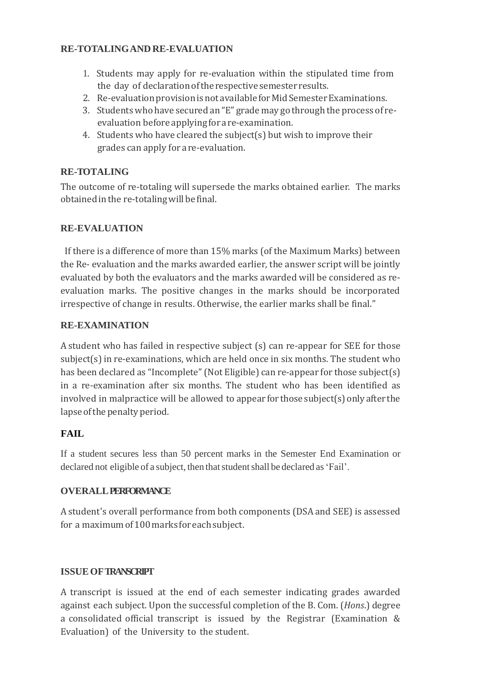## **RE-TOTALINGAND RE-EVALUATION**

- 1. Students may apply for re-evaluation within the stipulated time from the day of declaration of the respective semester results.
- 2. Re-evaluation provision is not available for Mid Semester Examinations.
- 3. Students who have secured an "E" grade may go through the process of reevaluation before applyingforare-examination.
- 4. Students who have cleared the subject(s) but wish to improve their grades can apply forare-evaluation.

# **RE-TOTALING**

The outcome of re-totaling will supersede the marks obtained earlier. The marks obtained in the re-totaling will be final.

# **RE-EVALUATION**

If there is a difference of more than 15% marks (of the Maximum Marks) between the Re- evaluation and the marks awarded earlier, the answer script will be jointly evaluated by both the evaluators and the marks awarded will be considered as reevaluation marks. The positive changes in the marks should be incorporated irrespective of change in results. Otherwise, the earlier marks shall be final."

# **RE-EXAMINATION**

A student who has failed in respective subject (s) can re-appear for SEE for those  $subject(s)$  in re-examinations, which are held once in six months. The student who has been declared as "Incomplete" (Not Eligible) can re-appear for those subject(s) in a re-examination after six months. The student who has been identified as involved in malpractice will be allowed to appear for thosesubject(s)onlyafter the lapse of the penalty period.

# **FAIL**

If a student secures less than 50 percent marks in the Semester End Examination or declared not eligible of a subject, then that student shall be declared as 'Fail'.

# **OVERALLPERFORMANCE**

A student's overall performance from both components (DSA and SEE) is assessed for a maximumof100marks foreachsubject.

# **ISSUEOFTRANSCRIPT**

A transcript is issued at the end of each semester indicating grades awarded against each subject. Upon the successful completion of the B. Com. (*Hons*.) degree a consolidated official transcript is issued by the Registrar (Examination & Evaluation) of the University to the student.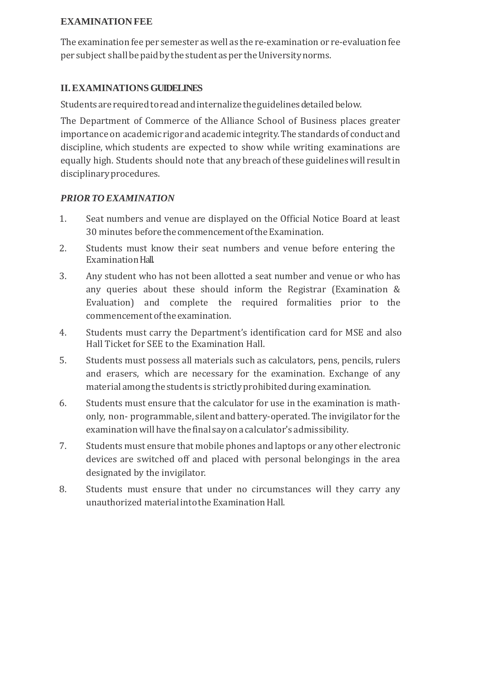#### **EXAMINATION FEE**

The examination fee per semester as well as the re-examination or re-evaluation fee per subject shallbepaidbythestudent asper theUniversitynorms.

# **II.EXAMINATIONS GUIDELINES**

Students are required to read and internalize the guidelines detailed below.

The Department of Commerce of the Alliance School of Business places greater importance on academic rigor and academic integrity.The standards of conduct and discipline, which students are expected to show while writing examinations are equally high. Students should note that any breach ofthese guidelineswill resultin disciplinary procedures.

# *PRIORTO EXAMINATION*

- 1. Seat numbers and venue are displayed on the Official Notice Board at least 30 minutes before thecommencementoftheExamination.
- 2. Students must know their seat numbers and venue before entering the Examination Hall.
- 3. Any student who has not been allotted a seat number and venue or who has any queries about these should inform the Registrar (Examination & Evaluation) and complete the required formalities prior to the commencementoftheexamination.
- 4. Students must carry the Department's identification card for MSE and also Hall Ticket for SEE to the Examination Hall.
- 5. Students must possess all materials such as calculators, pens, pencils, rulers and erasers, which are necessary for the examination. Exchange of any material among the students is strictly prohibited during examination.
- 6. Students must ensure that the calculator for use in the examination is mathonly, non- programmable, silent and battery-operated.The invigilator for the examination will have the final say on a calculator's admissibility.
- 7. Students must ensure that mobile phones and laptops or any other electronic devices are switched off and placed with personal belongings in the area designated by the invigilator.
- 8. Students must ensure that under no circumstances will they carry any unauthorized materialintotheExaminationHall.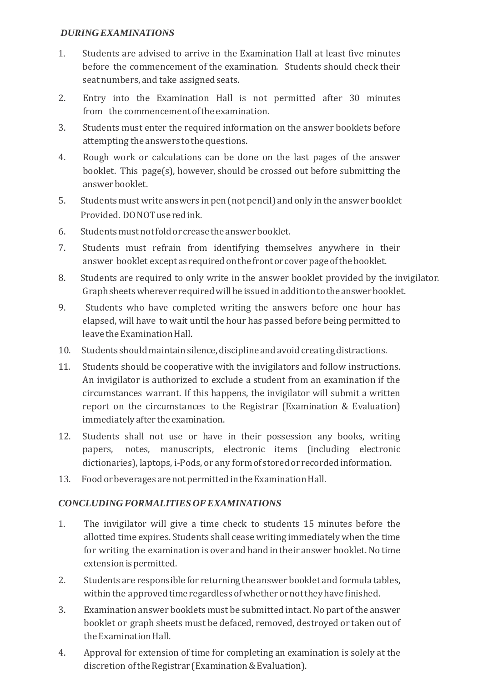#### *DURING EXAMINATIONS*

- 1. Students are advised to arrive in the Examination Hall at least five minutes before the commencement of the examination. Students should check their seat numbers, and take assigned seats.
- 2. Entry into the Examination Hall is not permitted after 30 minutes from the commencement of the examination.
- 3. Students must enter the required information on the answer booklets before attempting the answers to the questions.
- 4. Rough work or calculations can be done on the last pages of the answer booklet. This page(s), however, should be crossed out before submitting the answerbooklet.
- 5. Students mustwrite answers in pen (not pencil) and only in the answer booklet Provided. DONOTuseredink.
- 6. Studentsmustnotfoldor crease the answerbooklet.
- 7. Students must refrain from identifying themselves anywhere in their answer booklet except as required on the front or cover page of the booklet.
- 8. Students are required to only write in the answer booklet provided by the invigilator. Graph sheets wherever required will be issued in addition to the answer booklet.
- 9. Students who have completed writing the answers before one hour has elapsed, will have to wait until the hour has passed before being permitted to leave the Examination Hall.
- 10. Students should maintain silence, discipline and avoid creating distractions.
- 11. Students should be cooperative with the invigilators and follow instructions. An invigilator is authorized to exclude a student from an examination if the circumstances warrant. If this happens, the invigilator will submit a written report on the circumstances to the Registrar (Examination & Evaluation) immediately after the examination.
- 12. Students shall not use or have in their possession any books, writing papers, notes, manuscripts, electronic items (including electronic dictionaries), laptops, i-Pods, or any formof storedor recordedinformation.
- 13. Food or beverages are not permitted in the Examination Hall.

# *CONCLUDING FORMALITIES OFEXAMINATIONS*

- 1. The invigilator will give a time check to students 15 minutes before the allotted time expires. Students shall cease writing immediately when the time for writing the examination is over and hand in their answer booklet. No time extension is permitted.
- 2. Students are responsible for returning the answer booklet and formula tables, within the approved time regardless of whether or not they have finished.
- 3. Examination answer booklets must be submitted intact. No part of the answer booklet or graph sheets must be defaced, removed, destroyed or taken out of theExaminationHall.
- 4. Approval for extension of time for completing an examination is solely at the discretion of the Registrar (Examination & Evaluation).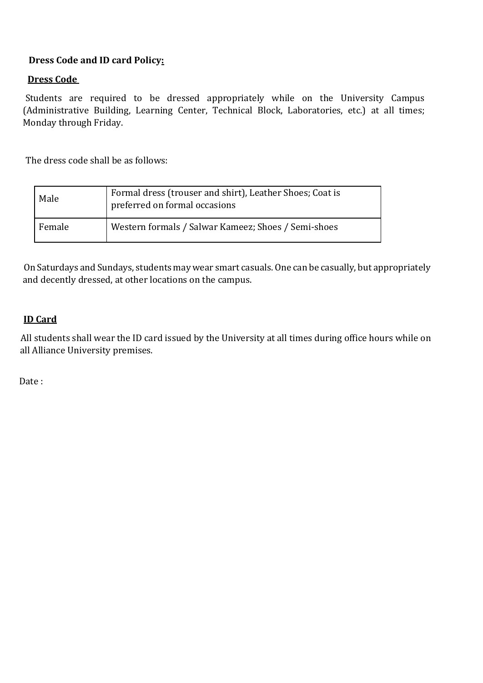# **Dress Code and ID card Policy:**

## **Dress Code**

Students are required to be dressed appropriately while on the University Campus (Administrative Building, Learning Center, Technical Block, Laboratories, etc.) at all times; Monday through Friday.

The dress code shall be as follows:

| Male   | Formal dress (trouser and shirt), Leather Shoes; Coat is<br>preferred on formal occasions |
|--------|-------------------------------------------------------------------------------------------|
| Female | Western formals / Salwar Kameez; Shoes / Semi-shoes                                       |

On Saturdays and Sundays, students may wear smart casuals. One can be casually, but appropriately and decently dressed, at other locations on the campus.

#### **ID Card**

 All students shall wear the ID card issued by the University at all times during office hours while on all Alliance University premises.

Date :